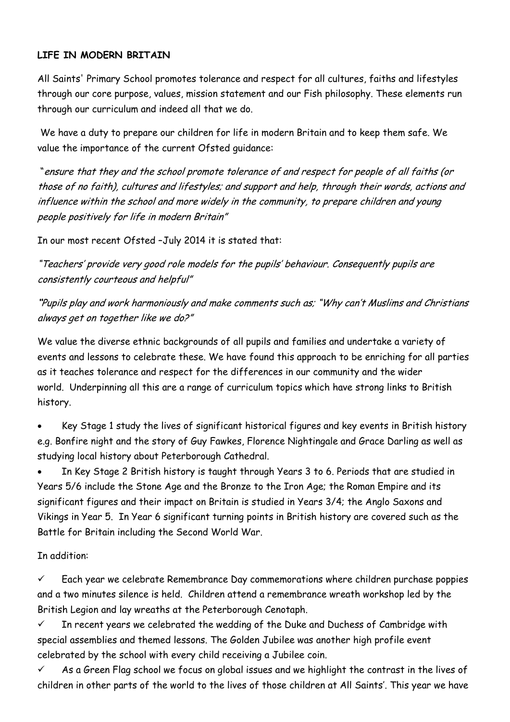## **LIFE IN MODERN BRITAIN**

All Saints' Primary School promotes tolerance and respect for all cultures, faiths and lifestyles through our core purpose, values, mission statement and our Fish philosophy. These elements run through our curriculum and indeed all that we do.

We have a duty to prepare our children for life in modern Britain and to keep them safe. We value the importance of the current Ofsted guidance:

"ensure that they and the school promote tolerance of and respect for people of all faiths (or those of no faith), cultures and lifestyles; and support and help, through their words, actions and influence within the school and more widely in the community, to prepare children and young people positively for life in modern Britain"

In our most recent Ofsted –July 2014 it is stated that:

"Teachers' provide very good role models for the pupils' behaviour. Consequently pupils are consistently courteous and helpful"

**"**Pupils play and work harmoniously and make comments such as; "Why can't Muslims and Christians always get on together like we do?"

We value the diverse ethnic backgrounds of all pupils and families and undertake a variety of events and lessons to celebrate these. We have found this approach to be enriching for all parties as it teaches tolerance and respect for the differences in our community and the wider world. Underpinning all this are a range of curriculum topics which have strong links to British history.

 Key Stage 1 study the lives of significant historical figures and key events in British history e.g. Bonfire night and the story of Guy Fawkes, Florence Nightingale and Grace Darling as well as studying local history about Peterborough Cathedral.

 In Key Stage 2 British history is taught through Years 3 to 6. Periods that are studied in Years 5/6 include the Stone Age and the Bronze to the Iron Age; the Roman Empire and its significant figures and their impact on Britain is studied in Years 3/4; the Anglo Saxons and Vikings in Year 5. In Year 6 significant turning points in British history are covered such as the Battle for Britain including the Second World War.

## In addition:

 $\checkmark$  Each year we celebrate Remembrance Day commemorations where children purchase poppies and a two minutes silence is held. Children attend a remembrance wreath workshop led by the British Legion and lay wreaths at the Peterborough Cenotaph.

 $\checkmark$  In recent years we celebrated the wedding of the Duke and Duchess of Cambridge with special assemblies and themed lessons. The Golden Jubilee was another high profile event celebrated by the school with every child receiving a Jubilee coin.

 $\checkmark$  As a Green Flag school we focus on global issues and we highlight the contrast in the lives of children in other parts of the world to the lives of those children at All Saints'. This year we have